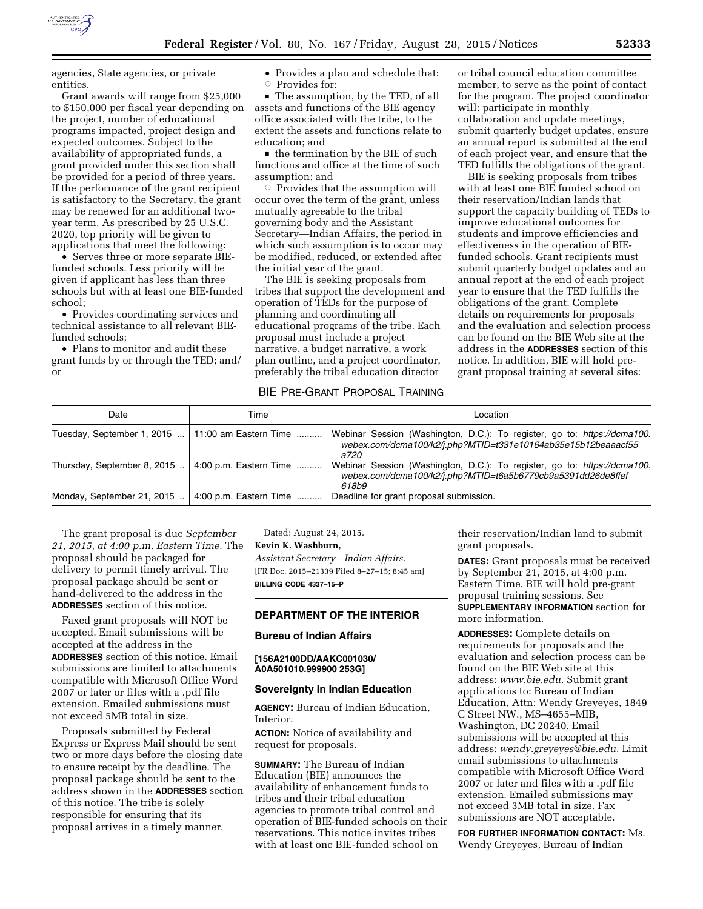

agencies, State agencies, or private entities.

Grant awards will range from \$25,000 to \$150,000 per fiscal year depending on the project, number of educational programs impacted, project design and expected outcomes. Subject to the availability of appropriated funds, a grant provided under this section shall be provided for a period of three years. If the performance of the grant recipient is satisfactory to the Secretary, the grant may be renewed for an additional twoyear term. As prescribed by 25 U.S.C. 2020, top priority will be given to applications that meet the following:

• Serves three or more separate BIEfunded schools. Less priority will be given if applicant has less than three schools but with at least one BIE-funded school;

• Provides coordinating services and technical assistance to all relevant BIEfunded schools;

• Plans to monitor and audit these grant funds by or through the TED; and/ or

• Provides a plan and schedule that:  $\circ$  Provides for:

 $\blacksquare$  The assumption, by the TED, of all assets and functions of the BIE agency office associated with the tribe, to the extent the assets and functions relate to education; and

 $\blacksquare$  the termination by the BIE of such functions and office at the time of such assumption; and

 $\circ$  Provides that the assumption will occur over the term of the grant, unless mutually agreeable to the tribal governing body and the Assistant Secretary—Indian Affairs, the period in which such assumption is to occur may be modified, reduced, or extended after the initial year of the grant.

The BIE is seeking proposals from tribes that support the development and operation of TEDs for the purpose of planning and coordinating all educational programs of the tribe. Each proposal must include a project narrative, a budget narrative, a work plan outline, and a project coordinator, preferably the tribal education director

or tribal council education committee member, to serve as the point of contact for the program. The project coordinator will: participate in monthly collaboration and update meetings, submit quarterly budget updates, ensure an annual report is submitted at the end of each project year, and ensure that the TED fulfills the obligations of the grant.

BIE is seeking proposals from tribes with at least one BIE funded school on their reservation/Indian lands that support the capacity building of TEDs to improve educational outcomes for students and improve efficiencies and effectiveness in the operation of BIEfunded schools. Grant recipients must submit quarterly budget updates and an annual report at the end of each project year to ensure that the TED fulfills the obligations of the grant. Complete details on requirements for proposals and the evaluation and selection process can be found on the BIE Web site at the address in the **ADDRESSES** section of this notice. In addition, BIE will hold pregrant proposal training at several sites:

# BIE PRE-GRANT PROPOSAL TRAINING

| Date                                                | Time                      | Location                                                                                                                                                 |
|-----------------------------------------------------|---------------------------|----------------------------------------------------------------------------------------------------------------------------------------------------------|
| Tuesday, September 1, 2015    11:00 am Eastern Time |                           | Webinar Session (Washington, D.C.): To register, go to: https://dcma100.<br>webex.com/dcma100/k2/j.php?MTID=t331e10164ab35e15b12beaaacf55<br><i>a720</i> |
| Thursday, September 8, 2015.                        | $ 4:00$ p.m. Eastern Time | Webinar Session (Washington, D.C.): To register, go to: https://dcma100.<br>webex.com/dcma100/k2/j.php?MTID=t6a5b6779cb9a5391dd26de8ffef<br>618b9        |
| Monday, September 21, 2015.                         | 4:00 p.m. Eastern Time    | Deadline for grant proposal submission.                                                                                                                  |

The grant proposal is due *September 21, 2015, at 4:00 p.m. Eastern Time.* The proposal should be packaged for delivery to permit timely arrival. The proposal package should be sent or hand-delivered to the address in the **ADDRESSES** section of this notice.

Faxed grant proposals will NOT be accepted. Email submissions will be accepted at the address in the **ADDRESSES** section of this notice. Email submissions are limited to attachments compatible with Microsoft Office Word 2007 or later or files with a .pdf file extension. Emailed submissions must not exceed 5MB total in size.

Proposals submitted by Federal Express or Express Mail should be sent two or more days before the closing date to ensure receipt by the deadline. The proposal package should be sent to the address shown in the **ADDRESSES** section of this notice. The tribe is solely responsible for ensuring that its proposal arrives in a timely manner.

Dated: August 24, 2015. **Kevin K. Washburn,**  *Assistant Secretary—Indian Affairs.*  [FR Doc. 2015–21339 Filed 8–27–15; 8:45 am] **BILLING CODE 4337–15–P** 

### **DEPARTMENT OF THE INTERIOR**

# **Bureau of Indian Affairs**

#### **[156A2100DD/AAKC001030/ A0A501010.999900 253G]**

#### **Sovereignty in Indian Education**

**AGENCY:** Bureau of Indian Education, Interior.

**ACTION:** Notice of availability and request for proposals.

**SUMMARY:** The Bureau of Indian Education (BIE) announces the availability of enhancement funds to tribes and their tribal education agencies to promote tribal control and operation of BIE-funded schools on their reservations. This notice invites tribes with at least one BIE-funded school on

their reservation/Indian land to submit grant proposals.

**DATES:** Grant proposals must be received by September 21, 2015, at 4:00 p.m. Eastern Time. BIE will hold pre-grant proposal training sessions. See **SUPPLEMENTARY INFORMATION** section for more information.

**ADDRESSES:** Complete details on requirements for proposals and the evaluation and selection process can be found on the BIE Web site at this address: *[www.bie.edu.](http://www.bie.edu)* Submit grant applications to: Bureau of Indian Education, Attn: Wendy Greyeyes, 1849 C Street NW., MS–4655–MIB, Washington, DC 20240. Email submissions will be accepted at this address: *[wendy.greyeyes@bie.edu.](mailto:wendy.greyeyes@bie.edu)* Limit email submissions to attachments compatible with Microsoft Office Word 2007 or later and files with a .pdf file extension. Emailed submissions may not exceed 3MB total in size. Fax submissions are NOT acceptable.

**FOR FURTHER INFORMATION CONTACT:** Ms. Wendy Greyeyes, Bureau of Indian